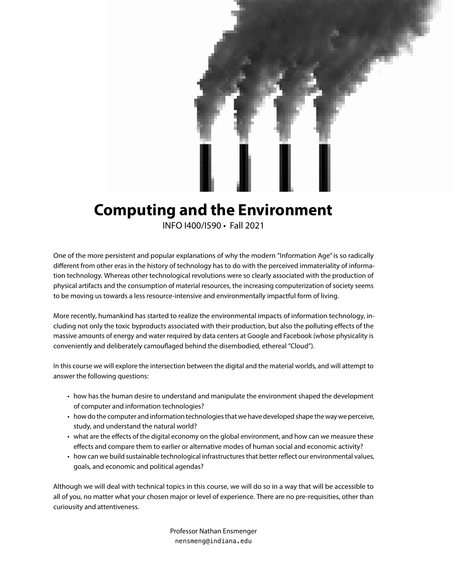

# **Computing and the Environment**

INFO I400/I590 • Fall 2021

One of the more persistent and popular explanations of why the modern "Information Age" is so radically different from other eras in the history of technology has to do with the perceived immateriality of information technology. Whereas other technological revolutions were so clearly associated with the production of physical artifacts and the consumption of material resources, the increasing computerization of society seems to be moving us towards a less resource-intensive and environmentally impactful form of living.

More recently, humankind has started to realize the environmental impacts of information technology, including not only the toxic byproducts associated with their production, but also the polluting effects of the massive amounts of energy and water required by data centers at Google and Facebook (whose physicality is conveniently and deliberately camouflaged behind the disembodied, ethereal "Cloud").

In this course we will explore the intersection between the digital and the material worlds, and will attempt to answer the following questions:

- how has the human desire to understand and manipulate the environment shaped the development of computer and information technologies?
- how do the computer and information technologies that we have developed shape the way we perceive, study, and understand the natural world?
- what are the effects of the digital economy on the global environment, and how can we measure these effects and compare them to earlier or alternative modes of human social and economic activity?
- how can we build sustainable technological infrastructures that better reflect our environmental values, goals, and economic and political agendas?

Although we will deal with technical topics in this course, we will do so in a way that will be accessible to all of you, no matter what your chosen major or level of experience. There are no pre-requisities, other than curiousity and attentiveness.

> Professor Nathan Ensmenger nensmeng@indiana.edu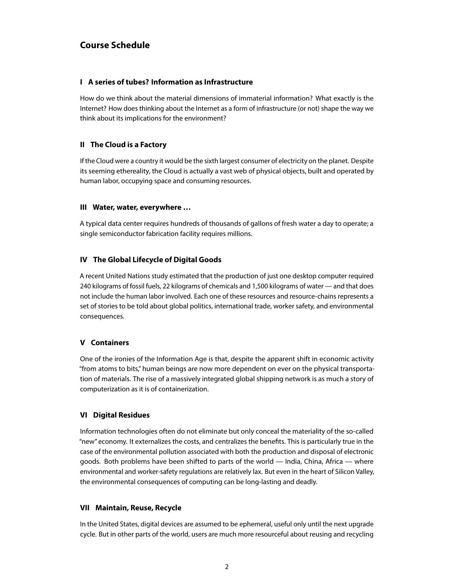## **Course Schedule**

#### **I A series of tubes? Information as Infrastructure**

How do we think about the material dimensions of immaterial information? What exactly is the Internet? How does thinking about the Internet as a form of infrastructure (or not) shape the way we think about its implications for the environment?

#### **II The Cloud is a Factory**

If the Cloud were a country it would be the sixth largest consumer of electricity on the planet. Despite its seeming ethereality, the Cloud is actually a vast web of physical objects, built and operated by human labor, occupying space and consuming resources.

#### **III Water, water, everywhere …**

A typical data center requires hundreds of thousands of gallons of fresh water a day to operate; a single semiconductor fabrication facility requires millions.

#### **IV The Global Lifecycle of Digital Goods**

A recent United Nations study estimated that the production of just one desktop computer required 240 kilograms of fossil fuels, 22 kilograms of chemicals and 1,500 kilograms of water — and that does not include the human labor involved. Each one of these resources and resource-chains represents a set of stories to be told about global politics, international trade, worker safety, and environmental consequences.

#### **V Containers**

One of the ironies of the Information Age is that, despite the apparent shift in economic activity "from atoms to bits," human beings are now more dependent on ever on the physical transportation of materials. The rise of a massively integrated global shipping network is as much a story of computerization as it is of containerization.

#### **VI Digital Residues**

Information technologies often do not eliminate but only conceal the materiality of the so-called "new" economy. It externalizes the costs, and centralizes the benefits. This is particularly true in the case of the environmental pollution associated with both the production and disposal of electronic goods. Both problems have been shifted to parts of the world — India, China, Africa — where environmental and worker-safety regulations are relatively lax. But even in the heart of Silicon Valley, the environmental consequences of computing can be long-lasting and deadly.

#### **VII Maintain, Reuse, Recycle**

In the United States, digital devices are assumed to be ephemeral, useful only until the next upgrade cycle. But in other parts of the world, users are much more resourceful about reusing and recycling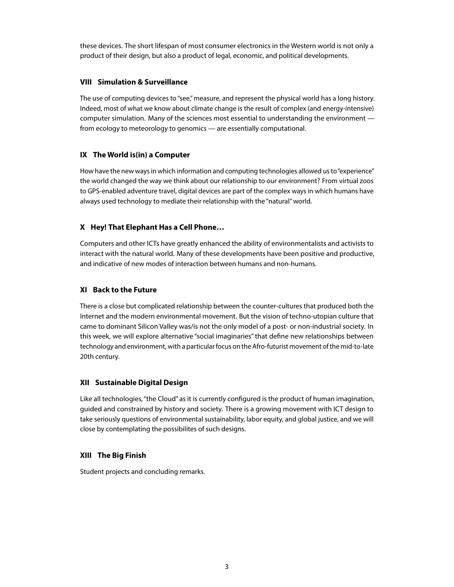these devices. The short lifespan of most consumer electronics in the Western world is not only a product of their design, but also a product of legal, economic, and political developments.

#### **VIII Simulation & Surveillance**

The use of computing devices to "see," measure, and represent the physical world has a long history. Indeed, most of what we know about climate change is the result of complex (and energy-intensive) computer simulation. Many of the sciences most essential to understanding the environment from ecology to meteorology to genomics — are essentially computational.

#### **IX The World is(in) a Computer**

How have the new ways in which information and computing technologies allowed us to "experience" the world changed the way we think about our relationship to our environment? From virtual zoos to GPS-enabled adventure travel, digital devices are part of the complex ways in which humans have always used technology to mediate their relationship with the "natural" world.

#### **X Hey! That Elephant Has a Cell Phone…**

Computers and other ICTs have greatly enhanced the ability of environmentalists and activists to interact with the natural world. Many of these developments have been positive and productive, and indicative of new modes of interaction between humans and non-humans.

#### **XI Back to the Future**

There is a close but complicated relationship between the counter-cultures that produced both the Internet and the modern environmental movement. But the vision of techno-utopian culture that came to dominant Silicon Valley was/is not the only model of a post- or non-industrial society. In this week, we will explore alternative "social imaginaries" that define new relationships between technology and environment, with a particular focus on the Afro-futurist movement of the mid-to-late 20th century.

#### **XII Sustainable Digital Design**

Like all technologies, "the Cloud" as it is currently configured is the product of human imagination, guided and constrained by history and society. There is a growing movement with ICT design to take seriously questions of environmental sustainability, labor equity, and global justice, and we will close by contemplating the possibilites of such designs.

#### **XIII The Big Finish**

Student projects and concluding remarks.